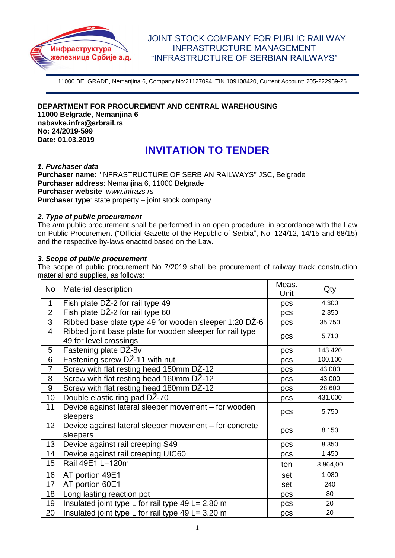

# JOINT STOCK COMPANY FOR PUBLIC RAILWAY INFRASTRUCTURE MANAGEMENT "INFRASTRUCTURE OF SERBIAN RAILWAYS"

11000 BELGRADE, Nemanjina 6, Company No:21127094, TIN 109108420, Current Account: 205-222959-26

**DEPARTMENT FOR PROCUREMENT AND CENTRAL WAREHOUSING 11000 Belgrade, Nemanjina 6 nabavkе.infra@srbrail.rs No: 24/2019-599 Date: 01.03.2019**

# **INVITATION TO TENDER**

#### *1. Purchaser data*

**Purchaser name**: "INFRASTRUCTURE OF SERBIAN RAILWAYS" JSC, Belgrade **Purchaser address**: Nemanjina 6, 11000 Belgrade **Purchaser website**: *www.infrazs.rs* **Purchaser type**: state property – joint stock company

# *2. Type of public procurement*

The a/m public procurement shall be performed in an open procedure, in accordance with the Law on Public Procurement ("Official Gazette of the Republic of Serbia", No. 124/12, 14/15 and 68/15) and the respective by-laws enacted based on the Law.

# *3. Scope of public procurement*

The scope of public procurement No 7/2019 shall be procurement of railway track construction material and supplies, as follows:

| No.            | <b>Material description</b>                                                        | Meas.<br>Unit | Qty      |
|----------------|------------------------------------------------------------------------------------|---------------|----------|
| $\mathbf{1}$   | Fish plate DŽ-2 for rail type 49                                                   | pcs           | 4.300    |
| $\overline{2}$ | Fish plate DŽ-2 for rail type 60                                                   | pcs           | 2.850    |
| 3              | Ribbed base plate type 49 for wooden sleeper 1:20 DŽ-6                             | pcs           | 35.750   |
| $\overline{4}$ | Ribbed joint base plate for wooden sleeper for rail type<br>49 for level crossings | pcs           | 5.710    |
| 5              | Fastening plate DŽ-8v                                                              | pcs           | 143.420  |
| 6              | Fastening screw DZ-11 with nut                                                     | pcs           | 100.100  |
| $\overline{7}$ | Screw with flat resting head 150mm DŽ-12                                           | pcs           | 43.000   |
| 8              | Screw with flat resting head 160mm DŽ-12                                           | pcs           | 43.000   |
| $9\,$          | Screw with flat resting head 180mm DZ-12                                           | pcs           | 28.600   |
| 10             | Double elastic ring pad DŽ-70                                                      | pcs           | 431.000  |
| 11             | Device against lateral sleeper movement - for wooden<br>sleepers                   | pcs           | 5.750    |
| 12             | Device against lateral sleeper movement - for concrete<br>sleepers                 | pcs           | 8.150    |
| 13             | Device against rail creeping S49                                                   | pcs           | 8.350    |
| 14             | Device against rail creeping UIC60                                                 | pcs           | 1.450    |
| 15             | Rail 49E1 L=120m                                                                   | ton           | 3.964,00 |
| 16             | AT portion 49E1                                                                    | set           | 1.080    |
| 17             | AT portion 60E1                                                                    | set           | 240      |
| 18             | Long lasting reaction pot                                                          | pcs           | 80       |
| 19             | Insulated joint type L for rail type 49 L= 2.80 m                                  | pcs           | 20       |
| 20             | Insulated joint type L for rail type 49 L= 3.20 m                                  | pcs           | 20       |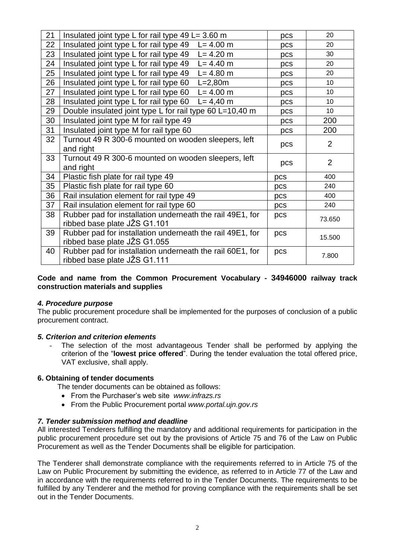| 21 | Insulated joint type L for rail type $49$ L= 3.60 m                  | pcs | 20              |
|----|----------------------------------------------------------------------|-----|-----------------|
| 22 | Insulated joint type L for rail type $49$ L= 4.00 m                  | pcs | 20              |
| 23 | Insulated joint type L for rail type 49 L= 4.20 m                    | pcs | 30              |
| 24 | Insulated joint type L for rail type 49<br>$L = 4.40 m$              | pcs | 20              |
| 25 | Insulated joint type L for rail type 49<br>$L = 4.80 m$              | pcs | 20              |
| 26 | Insulated joint type L for rail type 60<br>$L = 2,80m$               | pcs | 10              |
| 27 | Insulated joint type L for rail type 60 L= 4.00 m                    | pcs | 10              |
| 28 | Insulated joint type L for rail type $60 \text{ L} = 4,40 \text{ m}$ | pcs | 10              |
| 29 | Double insulated joint type L for rail type 60 L=10,40 m             | pcs | 10 <sup>°</sup> |
| 30 | Insulated joint type M for rail type 49                              | pcs | 200             |
| 31 | Insulated joint type M for rail type 60                              | pcs | 200             |
| 32 | Turnout 49 R 300-6 mounted on wooden sleepers, left                  | pcs | 2               |
|    | and right                                                            |     |                 |
| 33 | Turnout 49 R 300-6 mounted on wooden sleepers, left                  | pcs | $\overline{2}$  |
|    | and right                                                            |     |                 |
| 34 | Plastic fish plate for rail type 49                                  | pcs | 400             |
| 35 | Plastic fish plate for rail type 60                                  | pcs | 240             |
| 36 | Rail insulation element for rail type 49                             | pcs | 400             |
| 37 | Rail insulation element for rail type 60                             | pcs | 240             |
| 38 | Rubber pad for installation underneath the rail 49E1, for            | pcs | 73.650          |
|    | ribbed base plate JŽS G1.101                                         |     |                 |
| 39 | Rubber pad for installation underneath the rail 49E1, for            | pcs | 15.500          |
|    | ribbed base plate JŽS G1.055                                         |     |                 |
| 40 | Rubber pad for installation underneath the rail 60E1, for            | pcs | 7.800           |
|    | ribbed base plate JŽS G1.111                                         |     |                 |

**Code and name from the Common Procurement Vocabulary - 34946000 railway track construction materials and supplies**

#### *4. Procedure purpose*

The public procurement procedure shall be implemented for the purposes of conclusion of a public procurement contract.

#### *5. Criterion and criterion elements*

The selection of the most advantageous Tender shall be performed by applying the criterion of the "**lowest price offered**". During the tender evaluation the total offered price, VAT exclusive, shall apply.

#### **6. Obtaining of tender documents**

The tender documents can be obtained as follows:

- From the Purchaser's web site *www.infrazs.rs*
- From the Public Procurement portal *www.portal.ujn.gov.rs*

#### *7. Tender submission method and deadline*

All interested Tenderers fulfilling the mandatory and additional requirements for participation in the public procurement procedure set out by the provisions of Article 75 and 76 of the Law on Public Procurement as well as the Tender Documents shall be eligible for participation.

The Tenderer shall demonstrate compliance with the requirements referred to in Article 75 of the Law on Public Procurement by submitting the evidence, as referred to in Article 77 of the Law and in accordance with the requirements referred to in the Tender Documents. The requirements to be fulfilled by any Tenderer and the method for proving compliance with the requirements shall be set out in the Tender Documents.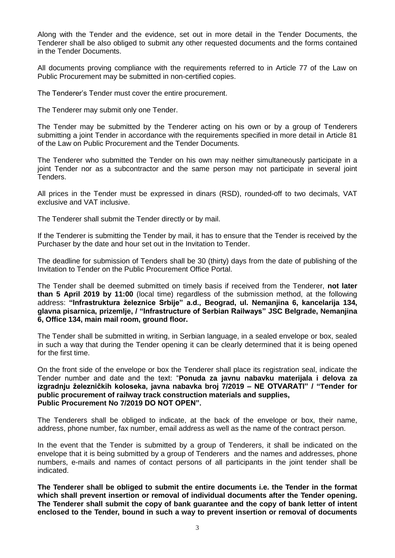Along with the Tender and the evidence, set out in more detail in the Tender Documents, the Tenderer shall be also obliged to submit any other requested documents and the forms contained in the Tender Documents.

All documents proving compliance with the requirements referred to in Article 77 of the Law on Public Procurement may be submitted in non-certified copies.

The Tenderer's Tender must cover the entire procurement.

The Tenderer may submit only one Tender.

The Tender may be submitted by the Tenderer acting on his own or by a group of Tenderers submitting a joint Tender in accordance with the requirements specified in more detail in Article 81 of the Law on Public Procurement and the Tender Documents.

The Tenderer who submitted the Tender on his own may neither simultaneously participate in a joint Tender nor as a subcontractor and the same person may not participate in several joint Tenders.

All prices in the Tender must be expressed in dinars (RSD), rounded-off to two decimals, VAT exclusive and VAT inclusive.

The Tenderer shall submit the Tender directly or by mail.

If the Tenderer is submitting the Tender by mail, it has to ensure that the Tender is received by the Purchaser by the date and hour set out in the Invitation to Tender.

The deadline for submission of Tenders shall be 30 (thirty) days from the date of publishing of the Invitation to Tender on the Public Procurement Office Portal.

The Tender shall be deemed submitted on timely basis if received from the Tenderer, **not later than 5 April 2019 by 11:00** (local time) regardless of the submission method, at the following address: **"Infrastruktura železnice Srbije" a.d., Beograd, ul. Nemanjina 6, kancelarija 134, glavna pisarnica, prizemlje, / "Infrastructure of Serbian Railways" JSC Belgrade, Nemanjina 6, Office 134, main mail room, ground floor.**

The Tender shall be submitted in writing, in Serbian language, in a sealed envelope or box, sealed in such a way that during the Tender opening it can be clearly determined that it is being opened for the first time.

On the front side of the envelope or box the Tenderer shall place its registration seal, indicate the Tender number and date and the text: "**Ponuda za javnu nabavku materijala i delova za izgradnju železničkih koloseka, javna nabavka broj 7/2019 – NE OTVARATI" / "Tender for public procurement of railway track construction materials and supplies, Public Procurement No 7/2019 DO NOT OPEN".**

The Tenderers shall be obliged to indicate, at the back of the envelope or box, their name, address, phone number, fax number, email address as well as the name of the contract person.

In the event that the Tender is submitted by a group of Tenderers, it shall be indicated on the envelope that it is being submitted by a group of Tenderers and the names and addresses, phone numbers, e-mails and names of contact persons of all participants in the joint tender shall be indicated.

**The Tenderer shall be obliged to submit the entire documents i.e. the Tender in the format which shall prevent insertion or removal of individual documents after the Tender opening. The Tenderer shall submit the copy of bank guarantee and the copy of bank letter of intent enclosed to the Tender, bound in such a way to prevent insertion or removal of documents**